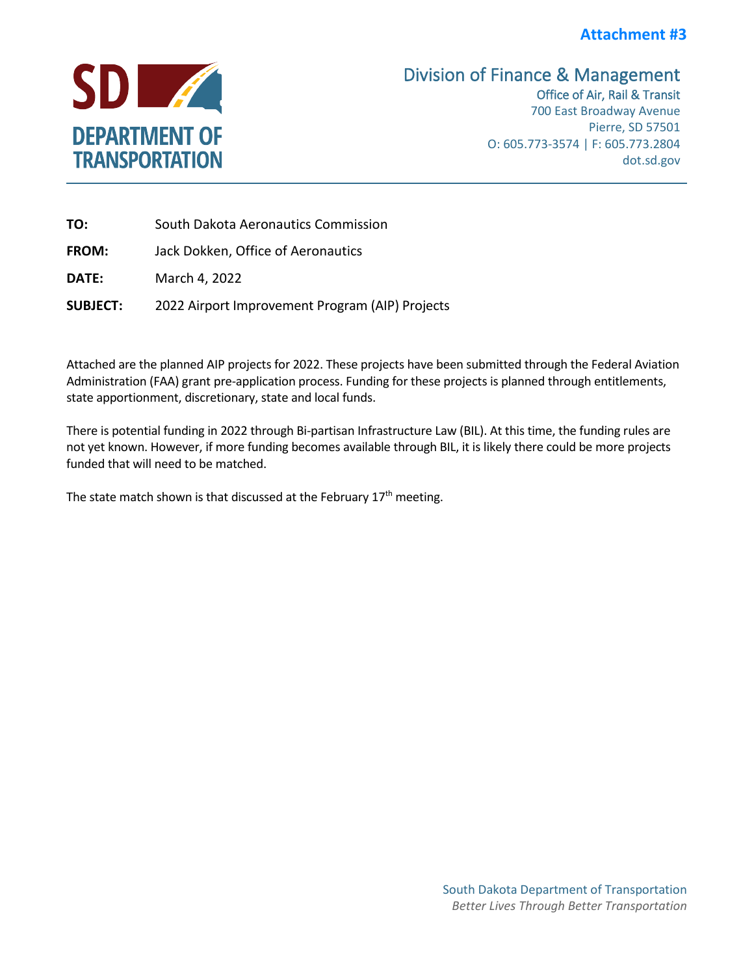## **Attachment #3**



## Division of Finance & Management<br>Office of Air, Rail & Transit

700 East Broadway Avenue Pierre, SD 57501 O: 605.773-3574 | F: 605.773.2804 dot.sd.gov

| TO:             | South Dakota Aeronautics Commission             |  |  |  |
|-----------------|-------------------------------------------------|--|--|--|
| <b>FROM:</b>    | Jack Dokken, Office of Aeronautics              |  |  |  |
| DATE:           | March 4, 2022                                   |  |  |  |
| <b>SUBJECT:</b> | 2022 Airport Improvement Program (AIP) Projects |  |  |  |

Attached are the planned AIP projects for 2022. These projects have been submitted through the Federal Aviation Administration (FAA) grant pre-application process. Funding for these projects is planned through entitlements, state apportionment, discretionary, state and local funds.

There is potential funding in 2022 through Bi-partisan Infrastructure Law (BIL). At this time, the funding rules are not yet known. However, if more funding becomes available through BIL, it is likely there could be more projects funded that will need to be matched.

The state match shown is that discussed at the February  $17<sup>th</sup>$  meeting.